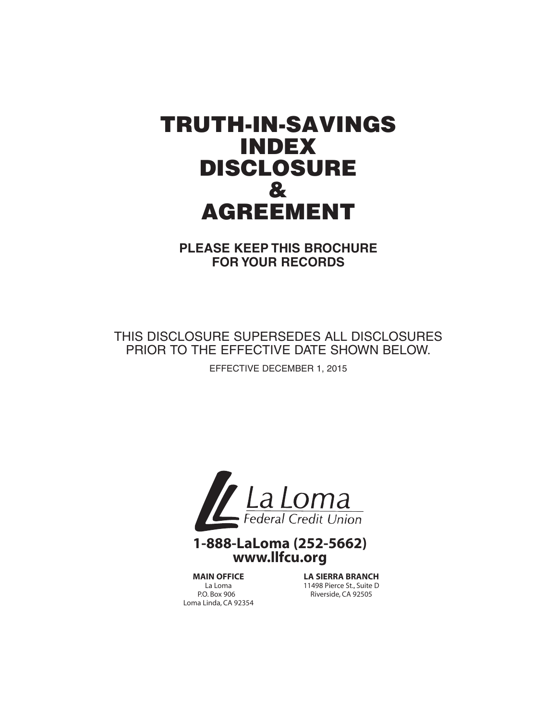# TRUTH-IN-SAVINGS INDEX DISCLOSURE & AGREEMENT

**PLEASE KEEP THIS BROCHURE FOR YOUR RECORDS**

THIS DISCLOSURE SUPERSEDES ALL DISCLOSURES PRIOR TO THE EFFECTIVE DATE SHOWN BELOW.

EFFECTIVE DECEMBER 1, 2015



# **1-888-LaLoma (252-5662) www.llfcu.org**

**MAIN OFFICE** La Loma P.O. Box 906 Loma Linda, CA 92354

**LA SIERRA BRANCH** 11498 Pierce St., Suite D Riverside, CA 92505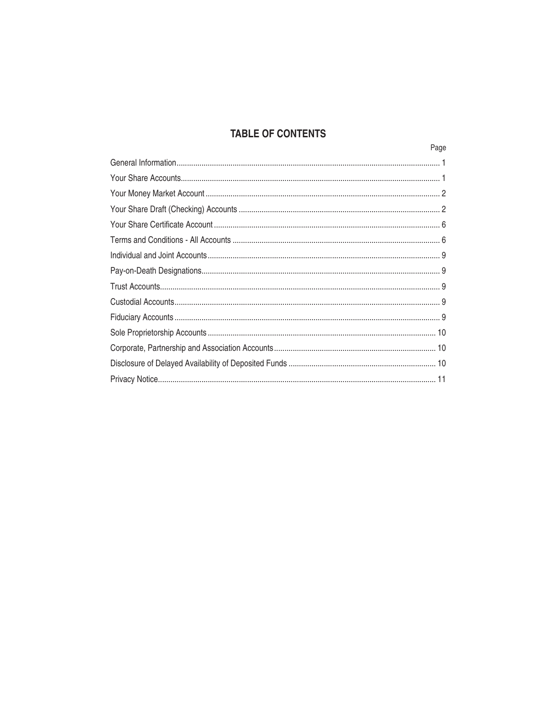# **TABLE OF CONTENTS**

| Page |
|------|
|      |
|      |
|      |
|      |
|      |
|      |
|      |
|      |
|      |
|      |
|      |
|      |
|      |
|      |
|      |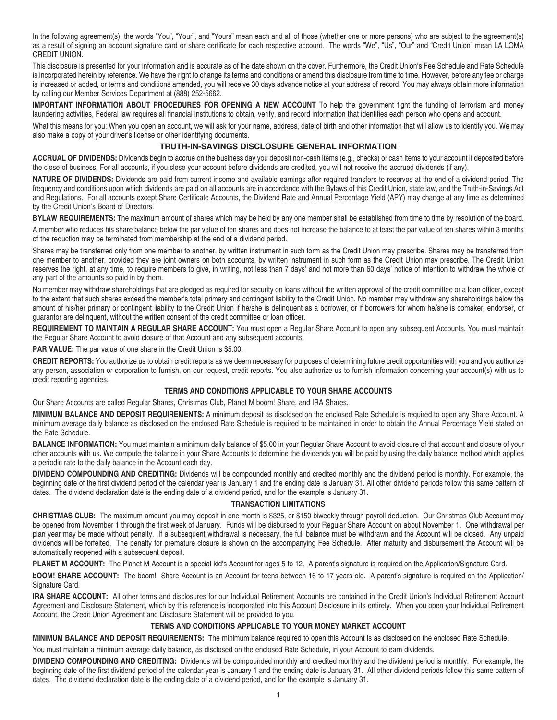In the following agreement(s), the words "You", "Your", and "Yours" mean each and all of those (whether one or more persons) who are subject to the agreement(s) as a result of signing an account signature card or share certificate for each respective account. The words "We", "Us", "Our" and "Credit Union" mean LA LOMA CREDIT UNION.

This disclosure is presented for your information and is accurate as of the date shown on the cover. Furthermore, the Credit Union's Fee Schedule and Rate Schedule is incorporated herein by reference. We have the right to change its terms and conditions or amend this disclosure from time to time. However, before any fee or charge is increased or added, or terms and conditions amended, you will receive 30 days advance notice at your address of record. You may always obtain more information by calling our Member Services Department at (888) 252-5662.

**IMPORTANT INFORMATION ABOUT PROCEDURES FOR OPENING A NEW ACCOUNT** To help the government fight the funding of terrorism and money laundering activities, Federal law requires all financial institutions to obtain, verify, and record information that identifies each person who opens and account.

What this means for you: When you open an account, we will ask for your name, address, date of birth and other information that will allow us to identify you. We may also make a copy of your driver's license or other identifying documents.

# **TRUTH-IN-SAVINGS DISCLOSURE GENERAL INFORMATION**

**ACCRUAL OF DIVIDENDS:** Dividends begin to accrue on the business day you deposit non-cash items (e.g., checks) or cash items to your account if deposited before the close of business. For all accounts, if you close your account before dividends are credited, you will not receive the accrued dividends (if any).

**NATURE OF DIVIDENDS:** Dividends are paid from current income and available earnings after required transfers to reserves at the end of a dividend period. The frequency and conditions upon which dividends are paid on all accounts are in accordance with the Bylaws of this Credit Union, state law, and the Truth-in-Savings Act and Regulations. For all accounts except Share Certificate Accounts, the Dividend Rate and Annual Percentage Yield (APY) may change at any time as determined by the Credit Union's Board of Directors.

**BYLAW REQUIREMENTS:** The maximum amount of shares which may be held by any one member shall be established from time to time by resolution of the board.

A member who reduces his share balance below the par value of ten shares and does not increase the balance to at least the par value of ten shares within 3 months of the reduction may be terminated from membership at the end of a dividend period.

Shares may be transferred only from one member to another, by written instrument in such form as the Credit Union may prescribe. Shares may be transferred from one member to another, provided they are joint owners on both accounts, by written instrument in such form as the Credit Union may prescribe. The Credit Union reserves the right, at any time, to require members to give, in writing, not less than 7 days' and not more than 60 days' notice of intention to withdraw the whole or any part of the amounts so paid in by them.

No member may withdraw shareholdings that are pledged as required for security on loans without the written approval of the credit committee or a loan officer, except to the extent that such shares exceed the member's total primary and contingent liability to the Credit Union. No member may withdraw any shareholdings below the amount of his/her primary or contingent liability to the Credit Union if he/she is delinquent as a borrower, or if borrowers for whom he/she is comaker, endorser, or guarantor are delinquent, without the written consent of the credit committee or loan officer.

**REQUIREMENT TO MAINTAIN A REGULAR SHARE ACCOUNT:** You must open a Regular Share Account to open any subsequent Accounts. You must maintain the Regular Share Account to avoid closure of that Account and any subsequent accounts.

**PAR VALUE:** The par value of one share in the Credit Union is \$5.00.

**CREDIT REPORTS:** You authorize us to obtain credit reports as we deem necessary for purposes of determining future credit opportunities with you and you authorize any person, association or corporation to furnish, on our request, credit reports. You also authorize us to furnish information concerning your account(s) with us to credit reporting agencies.

# **terms and conditions applicable to YOUR SHARE ACCOUNTS**

Our Share Accounts are called Regular Shares, Christmas Club, Planet M boom! Share, and IRA Shares.

**MINIMUM BALANCE AND DEPOSIT REQUIREMENTS:** A minimum deposit as disclosed on the enclosed Rate Schedule is required to open any Share Account. A minimum average daily balance as disclosed on the enclosed Rate Schedule is required to be maintained in order to obtain the Annual Percentage Yield stated on the Rate Schedule.

**BALANCE INFORMATION:** You must maintain a minimum daily balance of \$5.00 in your Regular Share Account to avoid closure of that account and closure of your other accounts with us. We compute the balance in your Share Accounts to determine the dividends you will be paid by using the daily balance method which applies a periodic rate to the daily balance in the Account each day.

**DIVIDEND COMPOUNDING AND CREDITING:** Dividends will be compounded monthly and credited monthly and the dividend period is monthly. For example, the beginning date of the first dividend period of the calendar year is January 1 and the ending date is January 31. All other dividend periods follow this same pattern of dates. The dividend declaration date is the ending date of a dividend period, and for the example is January 31.

# **TRANSACTION LIMITATIONS**

**CHRISTMAS CLUB:** The maximum amount you may deposit in one month is \$325, or \$150 biweekly through payroll deduction. Our Christmas Club Account may be opened from November 1 through the first week of January. Funds will be disbursed to your Regular Share Account on about November 1. One withdrawal per plan year may be made without penalty. If a subsequent withdrawal is necessary, the full balance must be withdrawn and the Account will be closed. Any unpaid dividends will be forfeited. The penalty for premature closure is shown on the accompanying Fee Schedule. After maturity and disbursement the Account will be automatically reopened with a subsequent deposit.

PLANET M ACCOUNT: The Planet M Account is a special kid's Account for ages 5 to 12. A parent's signature is required on the Application/Signature Card.

**bOOM! SHARE ACCOUNT:** The boom! Share Account is an Account for teens between 16 to 17 years old. A parent's signature is required on the Application/ Signature Card.

**IRA SHARE ACCOUNT:** All other terms and disclosures for our Individual Retirement Accounts are contained in the Credit Union's Individual Retirement Account Agreement and Disclosure Statement, which by this reference is incorporated into this Account Disclosure in its entirety. When you open your Individual Retirement Account, the Credit Union Agreement and Disclosure Statement will be provided to you.

# **TERMS AND CONDITIONS APPLICABLE TO YOUR MONEY MARKET ACCOUNT**

**MINIMUM BALANCE AND DEPOSIT REQUIREMENTS:** The minimum balance required to open this Account is as disclosed on the enclosed Rate Schedule.

You must maintain a minimum average daily balance, as disclosed on the enclosed Rate Schedule, in your Account to earn dividends.

**DIVIDEND COMPOUNDING AND CREDITING:** Dividends will be compounded monthly and credited monthly and the dividend period is monthly. For example, the beginning date of the first dividend period of the calendar year is January 1 and the ending date is January 31. All other dividend periods follow this same pattern of dates. The dividend declaration date is the ending date of a dividend period, and for the example is January 31.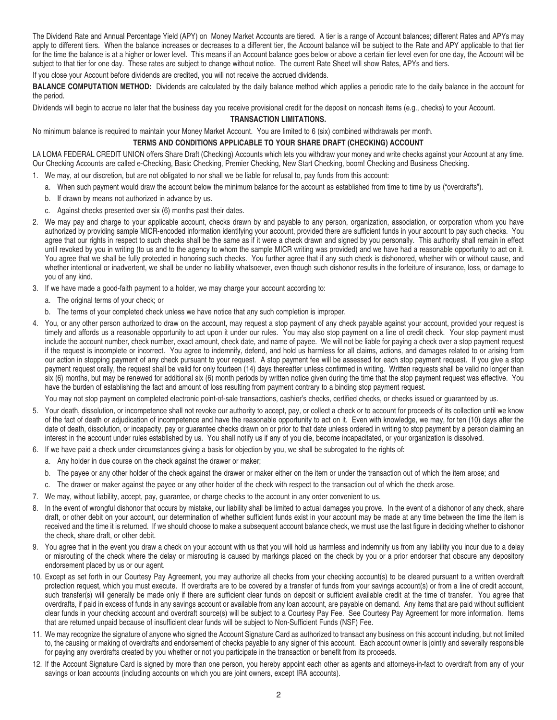The Dividend Rate and Annual Percentage Yield (APY) on Money Market Accounts are tiered. A tier is a range of Account balances; different Rates and APYs may apply to different tiers. When the balance increases or decreases to a different tier, the Account balance will be subject to the Rate and APY applicable to that tier for the time the balance is at a higher or lower level. This means if an Account balance goes below or above a certain tier level even for one day, the Account will be subject to that tier for one day. These rates are subject to change without notice. The current Rate Sheet will show Rates, APYs and tiers.

If you close your Account before dividends are credited, you will not receive the accrued dividends.

**BALANCE COMPUTATION METHOD:** Dividends are calculated by the daily balance method which applies a periodic rate to the daily balance in the account for the period.

Dividends will begin to accrue no later that the business day you receive provisional credit for the deposit on noncash items (e.g., checks) to your Account.

#### **TRANSACTION LIMITATIONS.**

No minimum balance is required to maintain your Money Market Account. You are limited to 6 (six) combined withdrawals per month.

#### **TERMS AND CONDITIONS APPLICABLE TO YOUR SHARE DRAFT (CHECKING) ACCOUNT**

LA LOMA FEDERAL CREDIT UNION offers Share Draft (Checking) Accounts which lets you withdraw your money and write checks against your Account at any time. Our Checking Accounts are called e-Checking, Basic Checking, Premier Checking, New Start Checking, boom! Checking and Business Checking.

- 1. We may, at our discretion, but are not obligated to nor shall we be liable for refusal to, pay funds from this account:
	- a. When such payment would draw the account below the minimum balance for the account as established from time to time by us ("overdrafts").
	- b. If drawn by means not authorized in advance by us.
	- c. Against checks presented over six (6) months past their dates.
- 2. We may pay and charge to your applicable account, checks drawn by and payable to any person, organization, association, or corporation whom you have authorized by providing sample MICR-encoded information identifying your account, provided there are sufficient funds in your account to pay such checks. You agree that our rights in respect to such checks shall be the same as if it were a check drawn and signed by you personally. This authority shall remain in effect until revoked by you in writing (to us and to the agency to whom the sample MICR writing was provided) and we have had a reasonable opportunity to act on it. You agree that we shall be fully protected in honoring such checks. You further agree that if any such check is dishonored, whether with or without cause, and whether intentional or inadvertent, we shall be under no liability whatsoever, even though such dishonor results in the forfeiture of insurance, loss, or damage to you of any kind.
- 3. If we have made a good-faith payment to a holder, we may charge your account according to:
	- a. The original terms of your check; or
	- b. The terms of your completed check unless we have notice that any such completion is improper.
- 4. You, or any other person authorized to draw on the account, may request a stop payment of any check payable against your account, provided your request is timely and affords us a reasonable opportunity to act upon it under our rules. You may also stop payment on a line of credit check. Your stop payment must include the account number, check number, exact amount, check date, and name of payee. We will not be liable for paying a check over a stop payment request if the request is incomplete or incorrect. You agree to indemnify, defend, and hold us harmless for all claims, actions, and damages related to or arising from our action in stopping payment of any check pursuant to your request. A stop payment fee will be assessed for each stop payment request. If you give a stop payment request orally, the request shall be valid for only fourteen (14) days thereafter unless confirmed in writing. Written requests shall be valid no longer than six (6) months, but may be renewed for additional six (6) month periods by written notice given during the time that the stop payment request was effective. You have the burden of establishing the fact and amount of loss resulting from payment contrary to a binding stop payment request.

You may not stop payment on completed electronic point-of-sale transactions, cashier's checks, certified checks, or checks issued or quaranteed by us.

- 5. Your death, dissolution, or incompetence shall not revoke our authority to accept, pay, or collect a check or to account for proceeds of its collection until we know of the fact of death or adjudication of incompetence and have the reasonable opportunity to act on it. Even with knowledge, we may, for ten (10) days after the date of death, dissolution, or incapacity, pay or guarantee checks drawn on or prior to that date unless ordered in writing to stop payment by a person claiming an interest in the account under rules established by us. You shall notify us if any of you die, become incapacitated, or your organization is dissolved.
- 6. If we have paid a check under circumstances giving a basis for objection by you, we shall be subrogated to the rights of:
	- a. Any holder in due course on the check against the drawer or maker;
	- b. The payee or any other holder of the check against the drawer or maker either on the item or under the transaction out of which the item arose; and
	- c. The drawer or maker against the payee or any other holder of the check with respect to the transaction out of which the check arose.
- 7. We may, without liability, accept, pay, guarantee, or charge checks to the account in any order convenient to us.
- 8. In the event of wrongful dishonor that occurs by mistake, our liability shall be limited to actual damages you prove. In the event of a dishonor of any check, share draft, or other debit on your account, our determination of whether sufficient funds exist in your account may be made at any time between the time the item is received and the time it is returned. If we should choose to make a subsequent account balance check, we must use the last figure in deciding whether to dishonor the check, share draft, or other debit.
- 9. You agree that in the event you draw a check on your account with us that you will hold us harmless and indemnify us from any liability you incur due to a delay or misrouting of the check where the delay or misrouting is caused by markings placed on the check by you or a prior endorser that obscure any depository endorsement placed by us or our agent.
- 10. Except as set forth in our Courtesy Pay Agreement, you may authorize all checks from your checking account(s) to be cleared pursuant to a written overdraft protection request, which you must execute. If overdrafts are to be covered by a transfer of funds from your savings account(s) or from a line of credit account, such transfer(s) will generally be made only if there are sufficient clear funds on deposit or sufficient available credit at the time of transfer. You agree that overdrafts, if paid in excess of funds in any savings account or available from any loan account, are payable on demand. Any items that are paid without sufficient clear funds in your checking account and overdraft source(s) will be subject to a Courtesy Pay Fee. See Courtesy Pay Agreement for more information. Items that are returned unpaid because of insufficient clear funds will be subject to Non-Sufficient Funds (NSF) Fee.
- 11. We may recognize the signature of anyone who signed the Account Signature Card as authorized to transact any business on this account including, but not limited to, the causing or making of overdrafts and endorsement of checks payable to any signer of this account. Each account owner is jointly and severally responsible for paying any overdrafts created by you whether or not you participate in the transaction or benefit from its proceeds.
- 12. If the Account Signature Card is signed by more than one person, you hereby appoint each other as agents and attorneys-in-fact to overdraft from any of your savings or loan accounts (including accounts on which you are joint owners, except IRA accounts).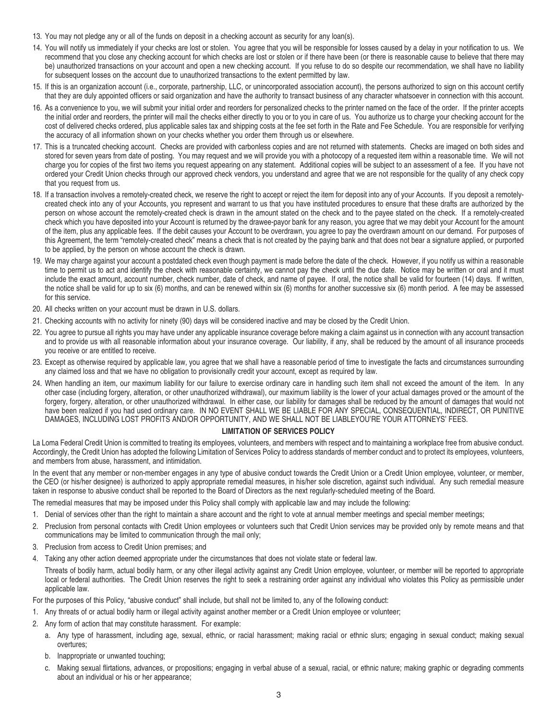- 13. You may not pledge any or all of the funds on deposit in a checking account as security for any loan(s).
- 14. You will notify us immediately if your checks are lost or stolen. You agree that you will be responsible for losses caused by a delay in your notification to us. We recommend that you close any checking account for which checks are lost or stolen or if there have been (or there is reasonable cause to believe that there may be) unauthorized transactions on your account and open a new checking account. If you refuse to do so despite our recommendation, we shall have no liability for subsequent losses on the account due to unauthorized transactions to the extent permitted by law.
- 15. If this is an organization account (i.e., corporate, partnership, LLC, or unincorporated association account), the persons authorized to sign on this account certify that they are duly appointed officers or said organization and have the authority to transact business of any character whatsoever in connection with this account.
- 16. As a convenience to you, we will submit your initial order and reorders for personalized checks to the printer named on the face of the order. If the printer accepts the initial order and reorders, the printer will mail the checks either directly to you or to you in care of us. You authorize us to charge your checking account for the cost of delivered checks ordered, plus applicable sales tax and shipping costs at the fee set forth in the Rate and Fee Schedule. You are responsible for verifying the accuracy of all information shown on your checks whether you order them through us or elsewhere.
- 17. This is a truncated checking account. Checks are provided with carbonless copies and are not returned with statements. Checks are imaged on both sides and stored for seven years from date of posting. You may request and we will provide you with a photocopy of a requested item within a reasonable time. We will not charge you for copies of the first two items you request appearing on any statement. Additional copies will be subject to an assessment of a fee. If you have not ordered your Credit Union checks through our approved check vendors, you understand and agree that we are not responsible for the quality of any check copy that you request from us.
- 18. If a transaction involves a remotely-created check, we reserve the right to accept or reject the item for deposit into any of your Accounts. If you deposit a remotelycreated check into any of your Accounts, you represent and warrant to us that you have instituted procedures to ensure that these drafts are authorized by the person on whose account the remotely-created check is drawn in the amount stated on the check and to the payee stated on the check. If a remotely-created check which you have deposited into your Account is returned by the drawee-payor bank for any reason, you agree that we may debit your Account for the amount of the item, plus any applicable fees. If the debit causes your Account to be overdrawn, you agree to pay the overdrawn amount on our demand. For purposes of this Agreement, the term "remotely-created check" means a check that is not created by the paying bank and that does not bear a signature applied, or purported to be applied, by the person on whose account the check is drawn.
- 19. We may charge against your account a postdated check even though payment is made before the date of the check. However, if you notify us within a reasonable time to permit us to act and identify the check with reasonable certainty, we cannot pay the check until the due date. Notice may be written or oral and it must include the exact amount, account number, check number, date of check, and name of payee. If oral, the notice shall be valid for fourteen (14) days. If written, the notice shall be valid for up to six (6) months, and can be renewed within six (6) months for another successive six (6) month period. A fee may be assessed for this service.
- 20. All checks written on your account must be drawn in U.S. dollars.
- 21. Checking accounts with no activity for ninety (90) days will be considered inactive and may be closed by the Credit Union.
- 22. You agree to pursue all rights you may have under any applicable insurance coverage before making a claim against us in connection with any account transaction and to provide us with all reasonable information about your insurance coverage. Our liability, if any, shall be reduced by the amount of all insurance proceeds you receive or are entitled to receive.
- 23. Except as otherwise required by applicable law, you agree that we shall have a reasonable period of time to investigate the facts and circumstances surrounding any claimed loss and that we have no obligation to provisionally credit your account, except as required by law.
- 24. When handling an item, our maximum liability for our failure to exercise ordinary care in handling such item shall not exceed the amount of the item. In any other case (including forgery, alteration, or other unauthorized withdrawal), our maximum liability is the lower of your actual damages proved or the amount of the forgery, forgery, alteration, or other unauthorized withdrawal. In either case, our liability for damages shall be reduced by the amount of damages that would not have been realized if you had used ordinary care. IN NO EVENT SHALL WE BE LIABLE FOR ANY SPECIAL, CONSEQUENTIAL, INDIRECT, OR PUNITIVE DAMAGES, INCLUDING LOST PROFITS AND/OR OPPORTUNITY, AND WE SHALL NOT BE LIABLEYOU'RE YOUR ATTORNEYS' FEES.

#### **LIMITATION OF SERVICES POLICY**

La Loma Federal Credit Union is committed to treating its employees, volunteers, and members with respect and to maintaining a workplace free from abusive conduct. Accordingly, the Credit Union has adopted the following Limitation of Services Policy to address standards of member conduct and to protect its employees, volunteers, and members from abuse, harassment, and intimidation.

In the event that any member or non-member engages in any type of abusive conduct towards the Credit Union or a Credit Union employee, volunteer, or member, the CEO (or his/her designee) is authorized to apply appropriate remedial measures, in his/her sole discretion, against such individual. Any such remedial measure taken in response to abusive conduct shall be reported to the Board of Directors as the next regularly-scheduled meeting of the Board.

The remedial measures that may be imposed under this Policy shall comply with applicable law and may include the following:

- 1. Denial of services other than the right to maintain a share account and the right to vote at annual member meetings and special member meetings;
- 2. Preclusion from personal contacts with Credit Union employees or volunteers such that Credit Union services may be provided only by remote means and that communications may be limited to communication through the mail only;
- 3. Preclusion from access to Credit Union premises; and
- 4. Taking any other action deemed appropriate under the circumstances that does not violate state or federal law.

Threats of bodily harm, actual bodily harm, or any other illegal activity against any Credit Union employee, volunteer, or member will be reported to appropriate local or federal authorities. The Credit Union reserves the right to seek a restraining order against any individual who violates this Policy as permissible under applicable law.

For the purposes of this Policy, "abusive conduct" shall include, but shall not be limited to, any of the following conduct:

- 1. Any threats of or actual bodily harm or illegal activity against another member or a Credit Union employee or volunteer;
- 2. Any form of action that may constitute harassment. For example:
	- a. Any type of harassment, including age, sexual, ethnic, or racial harassment; making racial or ethnic slurs; engaging in sexual conduct; making sexual overtures;
	- b. Inappropriate or unwanted touching;
	- c. Making sexual flirtations, advances, or propositions; engaging in verbal abuse of a sexual, racial, or ethnic nature; making graphic or degrading comments about an individual or his or her appearance;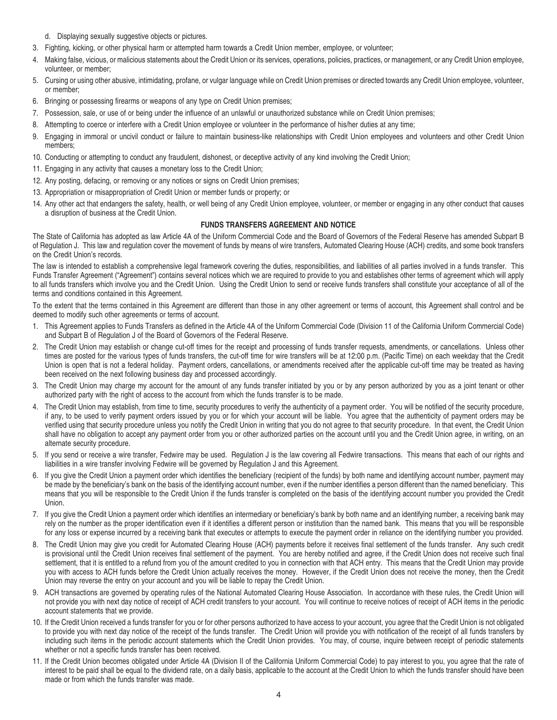- d. Displaying sexually suggestive objects or pictures.
- 3. Fighting, kicking, or other physical harm or attempted harm towards a Credit Union member, employee, or volunteer;
- 4. Making false, vicious, or malicious statements about the Credit Union or its services, operations, policies, practices, or management, or any Credit Union employee, volunteer, or member;
- 5. Cursing or using other abusive, intimidating, profane, or vulgar language while on Credit Union premises or directed towards any Credit Union employee, volunteer, or member;
- 6. Bringing or possessing firearms or weapons of any type on Credit Union premises;
- 7. Possession, sale, or use of or being under the influence of an unlawful or unauthorized substance while on Credit Union premises;
- 8. Attempting to coerce or interfere with a Credit Union employee or volunteer in the performance of his/her duties at any time;
- 9. Engaging in immoral or uncivil conduct or failure to maintain business-like relationships with Credit Union employees and volunteers and other Credit Union members;
- 10. Conducting or attempting to conduct any fraudulent, dishonest, or deceptive activity of any kind involving the Credit Union;
- 11. Engaging in any activity that causes a monetary loss to the Credit Union;
- 12. Any posting, defacing, or removing or any notices or signs on Credit Union premises;
- 13. Appropriation or misappropriation of Credit Union or member funds or property; or
- 14. Any other act that endangers the safety, health, or well being of any Credit Union employee, volunteer, or member or engaging in any other conduct that causes a disruption of business at the Credit Union.

# **FUNDS TRANSFERS AGREEMENT AND NOTICE**

The State of California has adopted as law Article 4A of the Uniform Commercial Code and the Board of Governors of the Federal Reserve has amended Subpart B of Regulation J. This law and regulation cover the movement of funds by means of wire transfers, Automated Clearing House (ACH) credits, and some book transfers on the Credit Union's records.

The law is intended to establish a comprehensive legal framework covering the duties, responsibilities, and liabilities of all parties involved in a funds transfer. This Funds Transfer Agreement ("Agreement") contains several notices which we are required to provide to you and establishes other terms of agreement which will apply to all funds transfers which involve you and the Credit Union. Using the Credit Union to send or receive funds transfers shall constitute your acceptance of all of the terms and conditions contained in this Agreement.

To the extent that the terms contained in this Agreement are different than those in any other agreement or terms of account, this Agreement shall control and be deemed to modify such other agreements or terms of account.

- 1. This Agreement applies to Funds Transfers as defined in the Article 4A of the Uniform Commercial Code (Division 11 of the California Uniform Commercial Code) and Subpart B of Regulation J of the Board of Governors of the Federal Reserve.
- 2. The Credit Union may establish or change cut-off times for the receipt and processing of funds transfer requests, amendments, or cancellations. Unless other times are posted for the various types of funds transfers, the cut-off time for wire transfers will be at 12:00 p.m. (Pacific Time) on each weekday that the Credit Union is open that is not a federal holiday. Payment orders, cancellations, or amendments received after the applicable cut-off time may be treated as having been received on the next following business day and processed accordingly.
- 3. The Credit Union may charge my account for the amount of any funds transfer initiated by you or by any person authorized by you as a joint tenant or other authorized party with the right of access to the account from which the funds transfer is to be made.
- 4. The Credit Union may establish, from time to time, security procedures to verify the authenticity of a payment order. You will be notified of the security procedure, if any, to be used to verify payment orders issued by you or for which your account will be liable. You agree that the authenticity of payment orders may be verified using that security procedure unless you notify the Credit Union in writing that you do not agree to that security procedure. In that event, the Credit Union shall have no obligation to accept any payment order from you or other authorized parties on the account until you and the Credit Union agree, in writing, on an alternate security procedure.
- 5. If you send or receive a wire transfer, Fedwire may be used. Regulation J is the law covering all Fedwire transactions. This means that each of our rights and liabilities in a wire transfer involving Fedwire will be governed by Regulation J and this Agreement.
- 6. If you give the Credit Union a payment order which identifies the beneficiary (recipient of the funds) by both name and identifying account number, payment may be made by the beneficiary's bank on the basis of the identifying account number, even if the number identifies a person different than the named beneficiary. This means that you will be responsible to the Credit Union if the funds transfer is completed on the basis of the identifying account number you provided the Credit Union.
- 7. If you give the Credit Union a payment order which identifies an intermediary or beneficiary's bank by both name and an identifying number, a receiving bank may rely on the number as the proper identification even if it identifies a different person or institution than the named bank. This means that you will be responsible for any loss or expense incurred by a receiving bank that executes or attempts to execute the payment order in reliance on the identifying number you provided.
- 8. The Credit Union may give you credit for Automated Clearing House (ACH) payments before it receives final settlement of the funds transfer. Any such credit is provisional until the Credit Union receives final settlement of the payment. You are hereby notified and agree, if the Credit Union does not receive such final settlement, that it is entitled to a refund from you of the amount credited to you in connection with that ACH entry. This means that the Credit Union may provide you with access to ACH funds before the Credit Union actually receives the money. However, if the Credit Union does not receive the money, then the Credit Union may reverse the entry on your account and you will be liable to repay the Credit Union.
- 9. ACH transactions are governed by operating rules of the National Automated Clearing House Association. In accordance with these rules, the Credit Union will not provide you with next day notice of receipt of ACH credit transfers to your account. You will continue to receive notices of receipt of ACH items in the periodic account statements that we provide.
- 10. If the Credit Union received a funds transfer for you or for other persons authorized to have access to your account, you agree that the Credit Union is not obligated to provide you with next day notice of the receipt of the funds transfer. The Credit Union will provide you with notification of the receipt of all funds transfers by including such items in the periodic account statements which the Credit Union provides. You may, of course, inquire between receipt of periodic statements whether or not a specific funds transfer has been received.
- 11. If the Credit Union becomes obligated under Article 4A (Division II of the California Uniform Commercial Code) to pay interest to you, you agree that the rate of interest to be paid shall be equal to the dividend rate, on a daily basis, applicable to the account at the Credit Union to which the funds transfer should have been made or from which the funds transfer was made.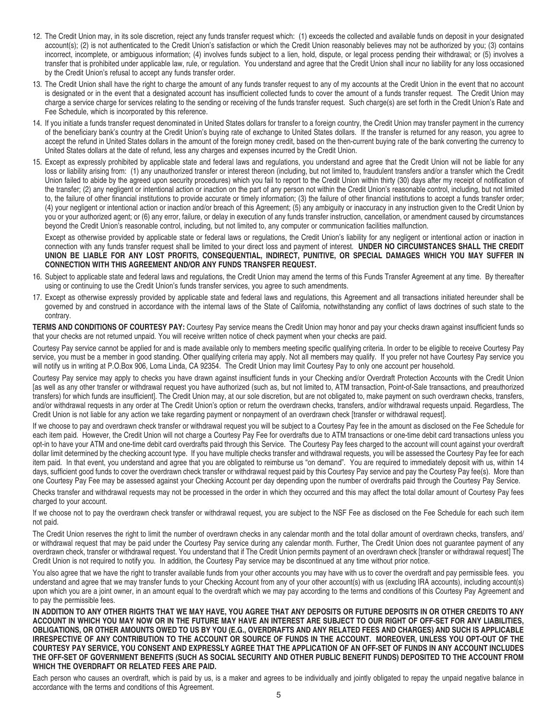- 12. The Credit Union may, in its sole discretion, reject any funds transfer request which: (1) exceeds the collected and available funds on deposit in your designated account(s); (2) is not authenticated to the Credit Union's satisfaction or which the Credit Union reasonably believes may not be authorized by you; (3) contains incorrect, incomplete, or ambiguous information; (4) involves funds subject to a lien, hold, dispute, or legal process pending their withdrawal; or (5) involves a transfer that is prohibited under applicable law, rule, or regulation. You understand and agree that the Credit Union shall incur no liability for any loss occasioned by the Credit Union's refusal to accept any funds transfer order.
- 13. The Credit Union shall have the right to charge the amount of any funds transfer request to any of my accounts at the Credit Union in the event that no account is designated or in the event that a designated account has insufficient collected funds to cover the amount of a funds transfer request. The Credit Union may charge a service charge for services relating to the sending or receiving of the funds transfer request. Such charge(s) are set forth in the Credit Union's Rate and Fee Schedule, which is incorporated by this reference.
- 14. If you initiate a funds transfer request denominated in United States dollars for transfer to a foreign country, the Credit Union may transfer payment in the currency of the beneficiary bank's country at the Credit Union's buying rate of exchange to United States dollars. If the transfer is returned for any reason, you agree to accept the refund in United States dollars in the amount of the foreign money credit, based on the then-current buying rate of the bank converting the currency to United States dollars at the date of refund, less any charges and expenses incurred by the Credit Union.
- 15. Except as expressly prohibited by applicable state and federal laws and regulations, you understand and agree that the Credit Union will not be liable for any loss or liability arising from: (1) any unauthorized transfer or interest thereon (including, but not limited to, fraudulent transfers and/or a transfer which the Credit Union failed to abide by the agreed upon security procedures) which you fail to report to the Credit Union within thirty (30) days after my receipt of notification of the transfer; (2) any negligent or intentional action or inaction on the part of any person not within the Credit Union's reasonable control, including, but not limited to, the failure of other financial institutions to provide accurate or timely information; (3) the failure of other financial institutions to accept a funds transfer order; (4) your negligent or intentional action or inaction and/or breach of this Agreement; (5) any ambiguity or inaccuracy in any instruction given to the Credit Union by you or your authorized agent; or (6) any error, failure, or delay in execution of any funds transfer instruction, cancellation, or amendment caused by circumstances beyond the Credit Union's reasonable control, including, but not limited to, any computer or communication facilities malfunction.

Except as otherwise provided by applicable state or federal laws or regulations, the Credit Union's liability for any negligent or intentional action or inaction in connection with any funds transfer request shall be limited to your direct loss and payment of interest. **UNDER NO CIRCUMSTANCES SHALL THE CREDIT UNION BE LIABLE FOR ANY LOST PROFITS, CONSEQUENTIAL, INDIRECT, PUNITIVE, OR SPECIAL DAMAGES WHICH YOU MAY SUFFER IN CONNECTION WITH THIS AGREEMENT AND/OR ANY FUNDS TRANSFER REQUEST.** 

- 16. Subject to applicable state and federal laws and regulations, the Credit Union may amend the terms of this Funds Transfer Agreement at any time. By thereafter using or continuing to use the Credit Union's funds transfer services, you agree to such amendments.
- 17. Except as otherwise expressly provided by applicable state and federal laws and regulations, this Agreement and all transactions initiated hereunder shall be governed by and construed in accordance with the internal laws of the State of California, notwithstanding any conflict of laws doctrines of such state to the contrary.

**TERMS AND CONDITIONS OF COURTESY PAY:** Courtesy Pay service means the Credit Union may honor and pay your checks drawn against insufficient funds so that your checks are not returned unpaid. You will receive written notice of check payment when your checks are paid.

Courtesy Pay service cannot be applied for and is made available only to members meeting specific qualifying criteria. In order to be eligible to receive Courtesy Pay service, you must be a member in good standing. Other qualifying criteria may apply. Not all members may qualify. If you prefer not have Courtesy Pay service you will notify us in writing at P.O.Box 906, Loma Linda, CA 92354. The Credit Union may limit Courtesy Pay to only one account per household.

Courtesy Pay service may apply to checks you have drawn against insufficient funds in your Checking and/or Overdraft Protection Accounts with the Credit Union [as well as any other transfer or withdrawal request you have authorized (such as, but not limited to, ATM transaction, Point-of-Sale transactions, and preauthorized transfers) for which funds are insufficient]. The Credit Union may, at our sole discretion, but are not obligated to, make payment on such overdrawn checks, transfers, and/or withdrawal requests in any order at The Credit Union's option or return the overdrawn checks, transfers, and/or withdrawal requests unpaid. Regardless, The Credit Union is not liable for any action we take regarding payment or nonpayment of an overdrawn check [transfer or withdrawal request].

If we choose to pay and overdrawn check transfer or withdrawal request you will be subject to a Courtesy Pay fee in the amount as disclosed on the Fee Schedule for each item paid. However, the Credit Union will not charge a Courtesy Pay Fee for overdrafts due to ATM transactions or one-time debit card transactions unless you opt-in to have your ATM and one-time debit card overdrafts paid through this Service. The Courtesy Pay fees charged to the account will count against your overdraft dollar limit determined by the checking account type. If you have multiple checks transfer and withdrawal requests, you will be assessed the Courtesy Pay fee for each item paid. In that event, you understand and agree that you are obligated to reimburse us "on demand". You are required to immediately deposit with us, within 14 days, sufficient good funds to cover the overdrawn check transfer or withdrawal request paid by this Courtesy Pay service and pay the Courtesy Pay fee(s). More than one Courtesy Pay Fee may be assessed against your Checking Account per day depending upon the number of overdrafts paid through the Courtesy Pay Service.

Checks transfer and withdrawal requests may not be processed in the order in which they occurred and this may affect the total dollar amount of Courtesy Pay fees charged to your account.

If we choose not to pay the overdrawn check transfer or withdrawal request, you are subject to the NSF Fee as disclosed on the Fee Schedule for each such item not paid.

The Credit Union reserves the right to limit the number of overdrawn checks in any calendar month and the total dollar amount of overdrawn checks, transfers, and/ or withdrawal request that may be paid under the Courtesy Pay service during any calendar month. Further, The Credit Union does not guarantee payment of any overdrawn check, transfer or withdrawal request. You understand that if The Credit Union permits payment of an overdrawn check [transfer or withdrawal request] The Credit Union is not required to notify you. In addition, the Courtesy Pay service may be discontinued at any time without prior notice.

You also agree that we have the right to transfer available funds from your other accounts you may have with us to cover the overdraft and pay permissible fees. you understand and agree that we may transfer funds to your Checking Account from any of your other account(s) with us (excluding IRA accounts), including account(s) upon which you are a joint owner, in an amount equal to the overdraft which we may pay according to the terms and conditions of this Courtesy Pay Agreement and to pay the permissible fees.

**In addition to any other rights that we may have, you agree that any deposits or future deposits in or other credits to any account in which you may now or in the future may have an interest are subject to our right of off-set for any liabilities, obligations, or other amounts owed to us by you (e.g., overdrafts and any related fees and charges) and such is applicable irrespective of any contribution to the account or source of funds in the account. Moreover, unless you opt-out of the Courtesy Pay Service, you consent and expressly agree that the application of an off-set of funds in any account includes the off-set of government benefits (such as Social Security and other public benefit funds) deposited to the account from which the overdraft or related fees are paid.** 

Each person who causes an overdraft, which is paid by us, is a maker and agrees to be individually and jointly obligated to repay the unpaid negative balance in accordance with the terms and conditions of this Agreement.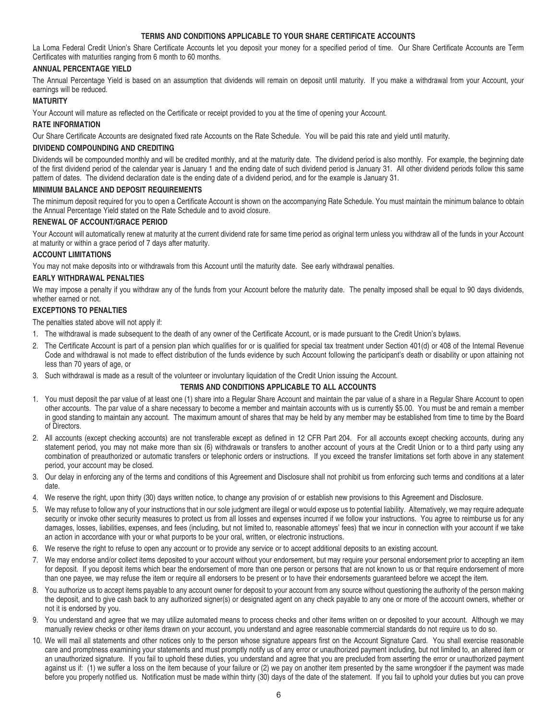# **TERMS AND CONDITIONS APPLICABLE TO YOUR SHARE CERTIFICATE ACCOUNTS**

La Loma Federal Credit Union's Share Certificate Accounts let you deposit your money for a specified period of time. Our Share Certificate Accounts are Term Certificates with maturities ranging from 6 month to 60 months.

# **ANNUAL PERCENTAGE YIELD**

The Annual Percentage Yield is based on an assumption that dividends will remain on deposit until maturity. If you make a withdrawal from your Account, your earnings will be reduced.

# **MATURITY**

Your Account will mature as reflected on the Certificate or receipt provided to you at the time of opening your Account.

#### **RATE INFORMATION**

Our Share Certificate Accounts are designated fixed rate Accounts on the Rate Schedule. You will be paid this rate and yield until maturity.

#### **DIVIDEND COMPOUNDING AND CREDITING**

Dividends will be compounded monthly and will be credited monthly, and at the maturity date. The dividend period is also monthly. For example, the beginning date of the first dividend period of the calendar year is January 1 and the ending date of such dividend period is January 31. All other dividend periods follow this same pattern of dates. The dividend declaration date is the ending date of a dividend period, and for the example is January 31.

#### **MINIMUM BALANCE AND DEPOSIT REQUIREMENTS**

The minimum deposit required for you to open a Certificate Account is shown on the accompanying Rate Schedule. You must maintain the minimum balance to obtain the Annual Percentage Yield stated on the Rate Schedule and to avoid closure.

#### **RENEWAL OF ACCOUNT/GRACE PERIOD**

Your Account will automatically renew at maturity at the current dividend rate for same time period as original term unless you withdraw all of the funds in your Account at maturity or within a grace period of 7 days after maturity.

#### **ACCOUNT LIMITATIONS**

You may not make deposits into or withdrawals from this Account until the maturity date. See early withdrawal penalties.

#### **EARLY WITHDRAWAL PENALTIES**

We may impose a penalty if you withdraw any of the funds from your Account before the maturity date. The penalty imposed shall be equal to 90 days dividends, whether earned or not.

#### **EXCEPTIONS TO PENALTIES**

The penalties stated above will not apply if:

- 1. The withdrawal is made subsequent to the death of any owner of the Certificate Account, or is made pursuant to the Credit Union's bylaws.
- 2. The Certificate Account is part of a pension plan which qualifies for or is qualified for special tax treatment under Section 401(d) or 408 of the Internal Revenue Code and withdrawal is not made to effect distribution of the funds evidence by such Account following the participant's death or disability or upon attaining not less than 70 years of age, or
- 3. Such withdrawal is made as a result of the volunteer or involuntary liquidation of the Credit Union issuing the Account.

#### **TERMS AND CONDITIONS APPLICABLE TO ALL ACCOUNTS**

- 1. You must deposit the par value of at least one (1) share into a Regular Share Account and maintain the par value of a share in a Regular Share Account to open other accounts. The par value of a share necessary to become a member and maintain accounts with us is currently \$5.00. You must be and remain a member in good standing to maintain any account. The maximum amount of shares that may be held by any member may be established from time to time by the Board of Directors.
- 2. All accounts (except checking accounts) are not transferable except as defined in 12 CFR Part 204. For all accounts except checking accounts, during any statement period, you may not make more than six (6) withdrawals or transfers to another account of yours at the Credit Union or to a third party using any combination of preauthorized or automatic transfers or telephonic orders or instructions. If you exceed the transfer limitations set forth above in any statement period, your account may be closed.
- 3. Our delay in enforcing any of the terms and conditions of this Agreement and Disclosure shall not prohibit us from enforcing such terms and conditions at a later date.
- 4. We reserve the right, upon thirty (30) days written notice, to change any provision of or establish new provisions to this Agreement and Disclosure.
- 5. We may refuse to follow any of your instructions that in our sole judgment are illegal or would expose us to potential liability. Alternatively, we may require adequate security or invoke other security measures to protect us from all losses and expenses incurred if we follow your instructions. You agree to reimburse us for any damages, losses, liabilities, expenses, and fees (including, but not limited to, reasonable attorneys' fees) that we incur in connection with your account if we take an action in accordance with your or what purports to be your oral, written, or electronic instructions.
- 6. We reserve the right to refuse to open any account or to provide any service or to accept additional deposits to an existing account.
- 7. We may endorse and/or collect items deposited to your account without your endorsement, but may require your personal endorsement prior to accepting an item for deposit. If you deposit items which bear the endorsement of more than one person or persons that are not known to us or that require endorsement of more than one payee, we may refuse the item or require all endorsers to be present or to have their endorsements guaranteed before we accept the item.
- 8. You authorize us to accept items payable to any account owner for deposit to your account from any source without questioning the authority of the person making the deposit, and to give cash back to any authorized signer(s) or designated agent on any check payable to any one or more of the account owners, whether or not it is endorsed by you.
- 9. You understand and agree that we may utilize automated means to process checks and other items written on or deposited to your account. Although we may manually review checks or other items drawn on your account, you understand and agree reasonable commercial standards do not require us to do so.
- 10. We will mail all statements and other notices only to the person whose signature appears first on the Account Signature Card. You shall exercise reasonable care and promptness examining your statements and must promptly notify us of any error or unauthorized payment including, but not limited to, an altered item or an unauthorized signature. If you fail to uphold these duties, you understand and agree that you are precluded from asserting the error or unauthorized payment against us if: (1) we suffer a loss on the item because of your failure or (2) we pay on another item presented by the same wrongdoer if the payment was made before you properly notified us. Notification must be made within thirty (30) days of the date of the statement. If you fail to uphold your duties but you can prove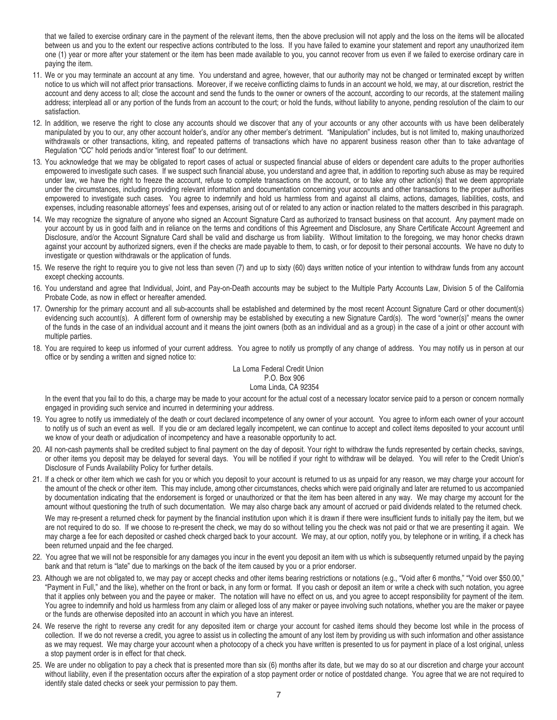that we failed to exercise ordinary care in the payment of the relevant items, then the above preclusion will not apply and the loss on the items will be allocated between us and you to the extent our respective actions contributed to the loss. If you have failed to examine your statement and report any unauthorized item one (1) year or more after your statement or the item has been made available to you, you cannot recover from us even if we failed to exercise ordinary care in paying the item.

- 11. We or you may terminate an account at any time. You understand and agree, however, that our authority may not be changed or terminated except by written notice to us which will not affect prior transactions. Moreover, if we receive conflicting claims to funds in an account we hold, we may, at our discretion, restrict the account and deny access to all; close the account and send the funds to the owner or owners of the account, according to our records, at the statement mailing address; interplead all or any portion of the funds from an account to the court; or hold the funds, without liability to anyone, pending resolution of the claim to our satisfaction.
- 12. In addition, we reserve the right to close any accounts should we discover that any of your accounts or any other accounts with us have been deliberately manipulated by you to our, any other account holder's, and/or any other member's detriment. "Manipulation" includes, but is not limited to, making unauthorized withdrawals or other transactions, kiting, and repeated patterns of transactions which have no apparent business reason other than to take advantage of Regulation "CC" hold periods and/or "interest float" to our detriment.
- 13. You acknowledge that we may be obligated to report cases of actual or suspected financial abuse of elders or dependent care adults to the proper authorities empowered to investigate such cases. If we suspect such financial abuse, you understand and agree that, in addition to reporting such abuse as may be required under law, we have the right to freeze the account, refuse to complete transactions on the account, or to take any other action(s) that we deem appropriate under the circumstances, including providing relevant information and documentation concerning your accounts and other transactions to the proper authorities empowered to investigate such cases. You agree to indemnify and hold us harmless from and against all claims, actions, damages, liabilities, costs, and expenses, including reasonable attorneys' fees and expenses, arising out of or related to any action or inaction related to the matters described in this paragraph.
- 14. We may recognize the signature of anyone who signed an Account Signature Card as authorized to transact business on that account. Any payment made on your account by us in good faith and in reliance on the terms and conditions of this Agreement and Disclosure, any Share Certificate Account Agreement and Disclosure, and/or the Account Signature Card shall be valid and discharge us from liability. Without limitation to the foregoing, we may honor checks drawn against your account by authorized signers, even if the checks are made payable to them, to cash, or for deposit to their personal accounts. We have no duty to investigate or question withdrawals or the application of funds.
- 15. We reserve the right to require you to give not less than seven (7) and up to sixty (60) days written notice of your intention to withdraw funds from any account except checking accounts.
- 16. You understand and agree that Individual, Joint, and Pay-on-Death accounts may be subject to the Multiple Party Accounts Law, Division 5 of the California Probate Code, as now in effect or hereafter amended.
- 17. Ownership for the primary account and all sub-accounts shall be established and determined by the most recent Account Signature Card or other document(s) evidencing such account(s). A different form of ownership may be established by executing a new Signature Card(s). The word "owner(s)" means the owner of the funds in the case of an individual account and it means the joint owners (both as an individual and as a group) in the case of a joint or other account with multiple parties.
- 18. You are required to keep us informed of your current address. You agree to notify us promptly of any change of address. You may notify us in person at our office or by sending a written and signed notice to:

#### La Loma Federal Credit Union P.O. Box 906 Loma Linda, CA 92354

In the event that you fail to do this, a charge may be made to your account for the actual cost of a necessary locator service paid to a person or concern normally engaged in providing such service and incurred in determining your address.

- 19. You agree to notify us immediately of the death or court declared incompetence of any owner of your account. You agree to inform each owner of your account to notify us of such an event as well. If you die or am declared legally incompetent, we can continue to accept and collect items deposited to your account until we know of your death or adjudication of incompetency and have a reasonable opportunity to act.
- 20. All non-cash payments shall be credited subject to final payment on the day of deposit. Your right to withdraw the funds represented by certain checks, savings, or other items you deposit may be delayed for several days. You will be notified if your right to withdraw will be delayed. You will refer to the Credit Union's Disclosure of Funds Availability Policy for further details.
- 21. If a check or other item which we cash for you or which you deposit to your account is returned to us as unpaid for any reason, we may charge your account for the amount of the check or other item. This may include, among other circumstances, checks which were paid originally and later are returned to us accompanied by documentation indicating that the endorsement is forged or unauthorized or that the item has been altered in any way. We may charge my account for the amount without questioning the truth of such documentation. We may also charge back any amount of accrued or paid dividends related to the returned check.

We may re-present a returned check for payment by the financial institution upon which it is drawn if there were insufficient funds to initially pay the item, but we are not required to do so. If we choose to re-present the check, we may do so without telling you the check was not paid or that we are presenting it again. We may charge a fee for each deposited or cashed check charged back to your account. We may, at our option, notify you, by telephone or in writing, if a check has been returned unpaid and the fee charged.

- 22. You agree that we will not be responsible for any damages you incur in the event you deposit an item with us which is subsequently returned unpaid by the paying bank and that return is "late" due to markings on the back of the item caused by you or a prior endorser.
- 23. Although we are not obligated to, we may pay or accept checks and other items bearing restrictions or notations (e.g., "Void after 6 months," "Void over \$50.00," "Payment in Full," and the like), whether on the front or back, in any form or format. If you cash or deposit an item or write a check with such notation, you agree that it applies only between you and the payee or maker. The notation will have no effect on us, and you agree to accept responsibility for payment of the item. You agree to indemnify and hold us harmless from any claim or alleged loss of any maker or payee involving such notations, whether you are the maker or payee or the funds are otherwise deposited into an account in which you have an interest.
- 24. We reserve the right to reverse any credit for any deposited item or charge your account for cashed items should they become lost while in the process of collection. If we do not reverse a credit, you agree to assist us in collecting the amount of any lost item by providing us with such information and other assistance as we may request. We may charge your account when a photocopy of a check you have written is presented to us for payment in place of a lost original, unless a stop payment order is in effect for that check.
- 25. We are under no obligation to pay a check that is presented more than six (6) months after its date, but we may do so at our discretion and charge your account without liability, even if the presentation occurs after the expiration of a stop payment order or notice of postdated change. You agree that we are not required to identify stale dated checks or seek your permission to pay them.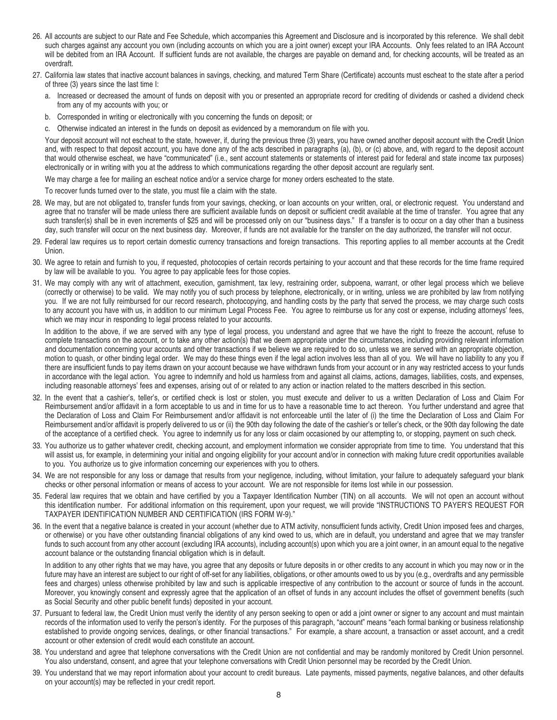- 26. All accounts are subject to our Rate and Fee Schedule, which accompanies this Agreement and Disclosure and is incorporated by this reference. We shall debit such charges against any account you own (including accounts on which you are a joint owner) except your IRA Accounts. Only fees related to an IRA Account will be debited from an IRA Account. If sufficient funds are not available, the charges are payable on demand and, for checking accounts, will be treated as an overdraft.
- 27. California law states that inactive account balances in savings, checking, and matured Term Share (Certificate) accounts must escheat to the state after a period of three (3) years since the last time I:
	- a. Increased or decreased the amount of funds on deposit with you or presented an appropriate record for crediting of dividends or cashed a dividend check from any of my accounts with you; or
	- b. Corresponded in writing or electronically with you concerning the funds on deposit; or
	- c. Otherwise indicated an interest in the funds on deposit as evidenced by a memorandum on file with you.

Your deposit account will not escheat to the state, however, if, during the previous three (3) years, you have owned another deposit account with the Credit Union and, with respect to that deposit account, you have done any of the acts described in paragraphs (a), (b), or (c) above, and, with regard to the deposit account that would otherwise escheat, we have "communicated" (i.e., sent account statements or statements of interest paid for federal and state income tax purposes) electronically or in writing with you at the address to which communications regarding the other deposit account are regularly sent.

We may charge a fee for mailing an escheat notice and/or a service charge for money orders escheated to the state.

To recover funds turned over to the state, you must file a claim with the state.

- 28. We may, but are not obligated to, transfer funds from your savings, checking, or loan accounts on your written, oral, or electronic request. You understand and agree that no transfer will be made unless there are sufficient available funds on deposit or sufficient credit available at the time of transfer. You agree that any such transfer(s) shall be in even increments of \$25 and will be processed only on our "business days." If a transfer is to occur on a day other than a business day, such transfer will occur on the next business day. Moreover, if funds are not available for the transfer on the day authorized, the transfer will not occur.
- 29. Federal law requires us to report certain domestic currency transactions and foreign transactions. This reporting applies to all member accounts at the Credit Union.
- 30. We agree to retain and furnish to you, if requested, photocopies of certain records pertaining to your account and that these records for the time frame required by law will be available to you. You agree to pay applicable fees for those copies.
- 31. We may comply with any writ of attachment, execution, garnishment, tax levy, restraining order, subpoena, warrant, or other legal process which we believe (correctly or otherwise) to be valid. We may notify you of such process by telephone, electronically, or in writing, unless we are prohibited by law from notifying you. If we are not fully reimbursed for our record research, photocopying, and handling costs by the party that served the process, we may charge such costs to any account you have with us, in addition to our minimum Legal Process Fee. You agree to reimburse us for any cost or expense, including attorneys' fees, which we may incur in responding to legal process related to your accounts.

In addition to the above, if we are served with any type of legal process, you understand and agree that we have the right to freeze the account, refuse to complete transactions on the account, or to take any other action(s) that we deem appropriate under the circumstances, including providing relevant information and documentation concerning your accounts and other transactions if we believe we are required to do so, unless we are served with an appropriate objection, motion to quash, or other binding legal order. We may do these things even if the legal action involves less than all of you. We will have no liability to any you if there are insufficient funds to pay items drawn on your account because we have withdrawn funds from your account or in any way restricted access to your funds in accordance with the legal action. You agree to indemnify and hold us harmless from and against all claims, actions, damages, liabilities, costs, and expenses, including reasonable attorneys' fees and expenses, arising out of or related to any action or inaction related to the matters described in this section.

- 32. In the event that a cashier's, teller's, or certified check is lost or stolen, you must execute and deliver to us a written Declaration of Loss and Claim For Reimbursement and/or affidavit in a form acceptable to us and in time for us to have a reasonable time to act thereon. You further understand and agree that the Declaration of Loss and Claim For Reimbursement and/or affidavit is not enforceable until the later of (i) the time the Declaration of Loss and Claim For Reimbursement and/or affidavit is properly delivered to us or (ii) the 90th day following the date of the cashier's or teller's check, or the 90th day following the date of the acceptance of a certified check. You agree to indemnify us for any loss or claim occasioned by our attempting to, or stopping, payment on such check.
- 33. You authorize us to gather whatever credit, checking account, and employment information we consider appropriate from time to time. You understand that this will assist us, for example, in determining your initial and ongoing eligibility for your account and/or in connection with making future credit opportunities available to you. You authorize us to give information concerning our experiences with you to others.
- 34. We are not responsible for any loss or damage that results from your negligence, including, without limitation, your failure to adequately safeguard your blank checks or other personal information or means of access to your account. We are not responsible for items lost while in our possession.
- 35. Federal law requires that we obtain and have certified by you a Taxpayer Identification Number (TIN) on all accounts. We will not open an account without this identification number. For additional information on this requirement, upon your request, we will provide "INSTRUCTIONS TO PAYER'S REQUEST FOR TAXPAYER IDENTIFICATION NUMBER AND CERTIFICATION (IRS FORM W-9)."
- 36. In the event that a negative balance is created in your account (whether due to ATM activity, nonsufficient funds activity, Credit Union imposed fees and charges, or otherwise) or you have other outstanding financial obligations of any kind owed to us, which are in default, you understand and agree that we may transfer funds to such account from any other account (excluding IRA accounts), including account(s) upon which you are a joint owner, in an amount equal to the negative account balance or the outstanding financial obligation which is in default.

In addition to any other rights that we may have, you agree that any deposits or future deposits in or other credits to any account in which you may now or in the future may have an interest are subject to our right of off-set for any liabilities, obligations, or other amounts owed to us by you (e.g., overdrafts and any permissible fees and charges) unless otherwise prohibited by law and such is applicable irrespective of any contribution to the account or source of funds in the account. Moreover, you knowingly consent and expressly agree that the application of an offset of funds in any account includes the offset of government benefits (such as Social Security and other public benefit funds) deposited in your account.

- 37. Pursuant to federal law, the Credit Union must verify the identity of any person seeking to open or add a joint owner or signer to any account and must maintain records of the information used to verify the person's identity. For the purposes of this paragraph, "account" means "each formal banking or business relationship established to provide ongoing services, dealings, or other financial transactions." For example, a share account, a transaction or asset account, and a credit account or other extension of credit would each constitute an account.
- 38. You understand and agree that telephone conversations with the Credit Union are not confidential and may be randomly monitored by Credit Union personnel. You also understand, consent, and agree that your telephone conversations with Credit Union personnel may be recorded by the Credit Union.
- 39. You understand that we may report information about your account to credit bureaus. Late payments, missed payments, negative balances, and other defaults on your account(s) may be reflected in your credit report.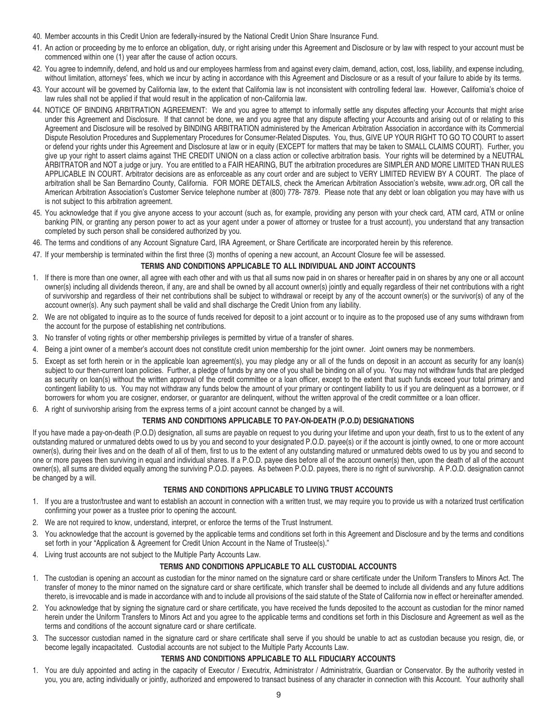- 40. Member accounts in this Credit Union are federally-insured by the National Credit Union Share Insurance Fund.
- 41. An action or proceeding by me to enforce an obligation, duty, or right arising under this Agreement and Disclosure or by law with respect to your account must be commenced within one (1) year after the cause of action occurs.
- 42. You agree to indemnify, defend, and hold us and our employees harmless from and against every claim, demand, action, cost, loss, liability, and expense including, without limitation, attorneys' fees, which we incur by acting in accordance with this Agreement and Disclosure or as a result of your failure to abide by its terms.
- 43. Your account will be governed by California law, to the extent that California law is not inconsistent with controlling federal law. However, California's choice of law rules shall not be applied if that would result in the application of non-California law.
- 44. NOTICE OF BINDING ARBITRATION AGREEMENT: We and you agree to attempt to informally settle any disputes affecting your Accounts that might arise under this Agreement and Disclosure. If that cannot be done, we and you agree that any dispute affecting your Accounts and arising out of or relating to this Agreement and Disclosure will be resolved by BINDING ARBITRATION administered by the American Arbitration Association in accordance with its Commercial Dispute Resolution Procedures and Supplementary Procedures for Consumer-Related Disputes. You, thus, GIVE UP YOUR RIGHT TO GO TO COURT to assert or defend your rights under this Agreement and Disclosure at law or in equity (EXCEPT for matters that may be taken to SMALL CLAIMS COURT). Further, you give up your right to assert claims against THE CREDIT UNION on a class action or collective arbitration basis. Your rights will be determined by a NEUTRAL ARBITRATOR and NOT a judge or jury. You are entitled to a FAIR HEARING, BUT the arbitration procedures are SIMPLER AND MORE LIMITED THAN RULES APPLICABLE IN COURT. Arbitrator decisions are as enforceable as any court order and are subject to VERY LIMITED REVIEW BY A COURT. The place of arbitration shall be San Bernardino County, California. FOR MORE DETAILS, check the American Arbitration Association's website, www.adr.org, OR call the American Arbitration Association's Customer Service telephone number at (800) 778- 7879. Please note that any debt or loan obligation you may have with us is not subject to this arbitration agreement.
- 45. You acknowledge that if you give anyone access to your account (such as, for example, providing any person with your check card, ATM card, ATM or online banking PIN, or granting any person power to act as your agent under a power of attorney or trustee for a trust account), you understand that any transaction completed by such person shall be considered authorized by you.
- 46. The terms and conditions of any Account Signature Card, IRA Agreement, or Share Certificate are incorporated herein by this reference.
- 47. If your membership is terminated within the first three (3) months of opening a new account, an Account Closure fee will be assessed.

#### **TERMS AND CONDITIONS APPLICABLE TO ALL INDIVIDUAL AND JOINT ACCOUNTS**

- 1. If there is more than one owner, all agree with each other and with us that all sums now paid in on shares or hereafter paid in on shares by any one or all account owner(s) including all dividends thereon, if any, are and shall be owned by all account owner(s) jointly and equally regardless of their net contributions with a right of survivorship and regardless of their net contributions shall be subject to withdrawal or receipt by any of the account owner(s) or the survivor(s) of any of the account owner(s). Any such payment shall be valid and shall discharge the Credit Union from any liability.
- 2. We are not obligated to inquire as to the source of funds received for deposit to a joint account or to inquire as to the proposed use of any sums withdrawn from the account for the purpose of establishing net contributions.
- 3. No transfer of voting rights or other membership privileges is permitted by virtue of a transfer of shares.
- 4. Being a joint owner of a member's account does not constitute credit union membership for the joint owner. Joint owners may be nonmembers.
- 5. Except as set forth herein or in the applicable loan agreement(s), you may pledge any or all of the funds on deposit in an account as security for any loan(s) subject to our then-current loan policies. Further, a pledge of funds by any one of you shall be binding on all of you. You may not withdraw funds that are pledged as security on loan(s) without the written approval of the credit committee or a loan officer, except to the extent that such funds exceed your total primary and contingent liability to us. You may not withdraw any funds below the amount of your primary or contingent liability to us if you are delinquent as a borrower, or if borrowers for whom you are cosigner, endorser, or guarantor are delinquent, without the written approval of the credit committee or a loan officer.
- 6. A right of survivorship arising from the express terms of a joint account cannot be changed by a will.

# **TERMS AND CONDITIONS APPLICABLE TO PAY-ON-DEATH (P.O.D) DESIGNATIONS**

If you have made a pay-on-death (P.O.D) designation, all sums are payable on request to you during your lifetime and upon your death, first to us to the extent of any outstanding matured or unmatured debts owed to us by you and second to your designated P.O.D. payee(s) or if the account is jointly owned, to one or more account owner(s), during their lives and on the death of all of them, first to us to the extent of any outstanding matured or unmatured debts owed to us by you and second to one or more payees then surviving in equal and individual shares. If a P.O.D. payee dies before all of the account owner(s) then, upon the death of all of the account owner(s), all sums are divided equally among the surviving P.O.D. payees. As between P.O.D. payees, there is no right of survivorship. A P.O.D. designation cannot be changed by a will.

# **TERMS AND CONDITIONS APPLICABLE TO LIVING TRUST ACCOUNTS**

- 1. If you are a trustor/trustee and want to establish an account in connection with a written trust, we may require you to provide us with a notarized trust certification confirming your power as a trustee prior to opening the account.
- 2. We are not required to know, understand, interpret, or enforce the terms of the Trust Instrument.
- 3. You acknowledge that the account is governed by the applicable terms and conditions set forth in this Agreement and Disclosure and by the terms and conditions set forth in your "Application & Agreement for Credit Union Account in the Name of Trustee(s)."
- 4. Living trust accounts are not subject to the Multiple Party Accounts Law.

# **TERMS AND CONDITIONS APPLICABLE TO ALL CUSTODIAL ACCOUNTS**

- 1. The custodian is opening an account as custodian for the minor named on the signature card or share certificate under the Uniform Transfers to Minors Act. The transfer of money to the minor named on the signature card or share certificate, which transfer shall be deemed to include all dividends and any future additions thereto, is irrevocable and is made in accordance with and to include all provisions of the said statute of the State of California now in effect or hereinafter amended.
- 2. You acknowledge that by signing the signature card or share certificate, you have received the funds deposited to the account as custodian for the minor named herein under the Uniform Transfers to Minors Act and you agree to the applicable terms and conditions set forth in this Disclosure and Agreement as well as the terms and conditions of the account signature card or share certificate.
- 3. The successor custodian named in the signature card or share certificate shall serve if you should be unable to act as custodian because you resign, die, or become legally incapacitated. Custodial accounts are not subject to the Multiple Party Accounts Law.

#### **TERMS AND CONDITIONS APPLICABLE TO ALL FIDUCIARY ACCOUNTS**

1. You are duly appointed and acting in the capacity of Executor / Executrix, Administrator / Administratrix, Guardian or Conservator. By the authority vested in you, you are, acting individually or jointly, authorized and empowered to transact business of any character in connection with this Account. Your authority shall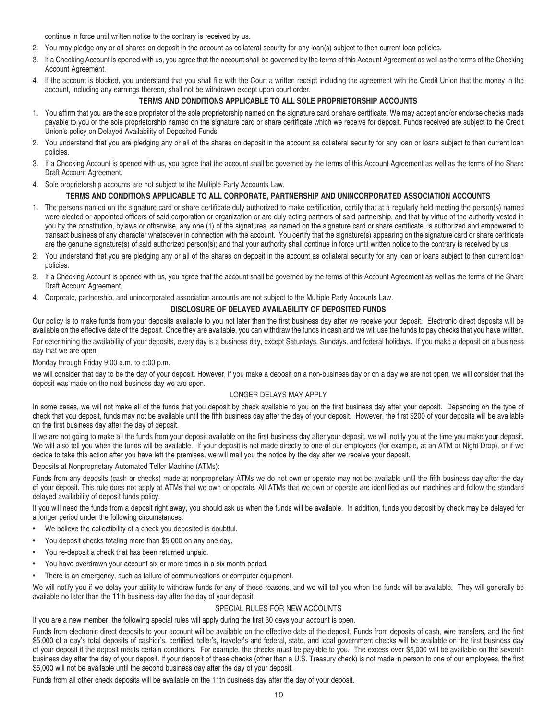continue in force until written notice to the contrary is received by us.

- 2. You may pledge any or all shares on deposit in the account as collateral security for any loan(s) subject to then current loan policies.
- 3. If a Checking Account is opened with us, you agree that the account shall be governed by the terms of this Account Agreement as well as the terms of the Checking Account Agreement.
- 4. If the account is blocked, you understand that you shall file with the Court a written receipt including the agreement with the Credit Union that the money in the account, including any earnings thereon, shall not be withdrawn except upon court order.

# **TERMS AND CONDITIONS APPLICABLE TO ALL SOLE PROPRIETORSHIP ACCOUNTS**

- 1. You affirm that you are the sole proprietor of the sole proprietorship named on the signature card or share certificate. We may accept and/or endorse checks made payable to you or the sole proprietorship named on the signature card or share certificate which we receive for deposit. Funds received are subject to the Credit Union's policy on Delayed Availability of Deposited Funds.
- 2. You understand that you are pledging any or all of the shares on deposit in the account as collateral security for any loan or loans subject to then current loan policies.
- 3. If a Checking Account is opened with us, you agree that the account shall be governed by the terms of this Account Agreement as well as the terms of the Share Draft Account Agreement.
- 4. Sole proprietorship accounts are not subject to the Multiple Party Accounts Law.

#### **TERMS AND CONDITIONS APPLICABLE TO ALL CORPORATE, PARTNERSHIP AND UNINCORPORATED ASSOCIATION ACCOUNTS**

- 1. The persons named on the signature card or share certificate duly authorized to make certification, certify that at a regularly held meeting the person(s) named were elected or appointed officers of said corporation or organization or are duly acting partners of said partnership, and that by virtue of the authority vested in you by the constitution, bylaws or otherwise, any one (1) of the signatures, as named on the signature card or share certificate, is authorized and empowered to transact business of any character whatsoever in connection with the account. You certify that the signature(s) appearing on the signature card or share certificate are the genuine signature(s) of said authorized person(s); and that your authority shall continue in force until written notice to the contrary is received by us.
- 2. You understand that you are pledging any or all of the shares on deposit in the account as collateral security for any loan or loans subject to then current loan policies.
- 3. If a Checking Account is opened with us, you agree that the account shall be governed by the terms of this Account Agreement as well as the terms of the Share Draft Account Agreement.
- 4. Corporate, partnership, and unincorporated association accounts are not subject to the Multiple Party Accounts Law.

#### **DISCLOSURE OF DELAYED AVAILABILITY OF DEPOSITED FUNDS**

Our policy is to make funds from your deposits available to you not later than the first business day after we receive your deposit. Electronic direct deposits will be available on the effective date of the deposit. Once they are available, you can withdraw the funds in cash and we will use the funds to pay checks that you have written.

For determining the availability of your deposits, every day is a business day, except Saturdays, Sundays, and federal holidays. If you make a deposit on a business day that we are open,

Monday through Friday 9:00 a.m. to 5:00 p.m.

we will consider that day to be the day of your deposit. However, if you make a deposit on a non-business day or on a day we are not open, we will consider that the deposit was made on the next business day we are open.

#### LONGER DELAYS MAY APPLY

In some cases, we will not make all of the funds that you deposit by check available to you on the first business day after your deposit. Depending on the type of check that you deposit, funds may not be available until the fifth business day after the day of your deposit. However, the first \$200 of your deposits will be available on the first business day after the day of deposit.

If we are not going to make all the funds from your deposit available on the first business day after your deposit, we will notify you at the time you make your deposit. We will also tell you when the funds will be available. If your deposit is not made directly to one of our employees (for example, at an ATM or Night Drop), or if we decide to take this action after you have left the premises, we will mail you the notice by the day after we receive your deposit.

Deposits at Nonproprietary Automated Teller Machine (ATMs):

Funds from any deposits (cash or checks) made at nonproprietary ATMs we do not own or operate may not be available until the fifth business day after the day of your deposit. This rule does not apply at ATMs that we own or operate. All ATMs that we own or operate are identified as our machines and follow the standard delayed availability of deposit funds policy.

If you will need the funds from a deposit right away, you should ask us when the funds will be available. In addition, funds you deposit by check may be delayed for a longer period under the following circumstances:

- We believe the collectibility of a check you deposited is doubtful.
- You deposit checks totaling more than \$5,000 on any one day.
- You re-deposit a check that has been returned unpaid.
- You have overdrawn your account six or more times in a six month period.
- There is an emergency, such as failure of communications or computer equipment.

We will notify you if we delay your ability to withdraw funds for any of these reasons, and we will tell you when the funds will be available. They will generally be available no later than the 11th business day after the day of your deposit.

#### SPECIAL RULES FOR NEW ACCOUNTS

If you are a new member, the following special rules will apply during the first 30 days your account is open.

Funds from electronic direct deposits to your account will be available on the effective date of the deposit. Funds from deposits of cash, wire transfers, and the first \$5,000 of a day's total deposits of cashier's, certified, teller's, traveler's and federal, state, and local government checks will be available on the first business day of your deposit if the deposit meets certain conditions. For example, the checks must be payable to you. The excess over \$5,000 will be available on the seventh business day after the day of your deposit. If your deposit of these checks (other than a U.S. Treasury check) is not made in person to one of our employees, the first \$5,000 will not be available until the second business day after the day of your deposit.

Funds from all other check deposits will be available on the 11th business day after the day of your deposit.